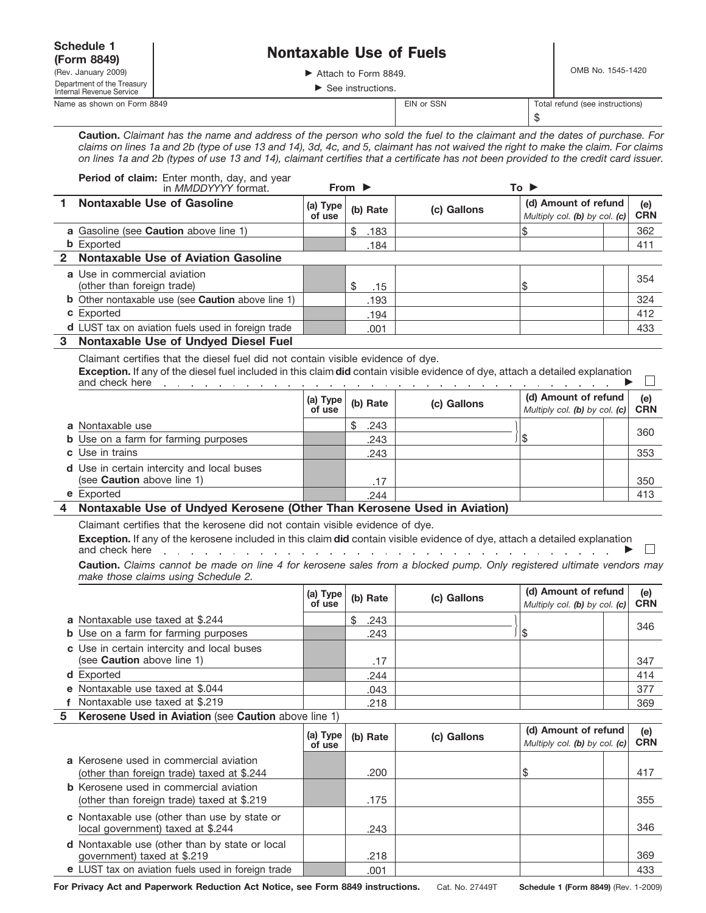| <b>Schedule 1</b>                                                    |                                                                                                                                                                                                                                                                                                                                                                                                                                                      |                    | <b>Nontaxable Use of Fuels</b>          |                                                                                                                                                                                                                                |      |                                                       |                   |
|----------------------------------------------------------------------|------------------------------------------------------------------------------------------------------------------------------------------------------------------------------------------------------------------------------------------------------------------------------------------------------------------------------------------------------------------------------------------------------------------------------------------------------|--------------------|-----------------------------------------|--------------------------------------------------------------------------------------------------------------------------------------------------------------------------------------------------------------------------------|------|-------------------------------------------------------|-------------------|
| (Form 8849)                                                          |                                                                                                                                                                                                                                                                                                                                                                                                                                                      |                    |                                         |                                                                                                                                                                                                                                |      |                                                       |                   |
| (Rev. January 2009)<br>Department of the Treasury                    |                                                                                                                                                                                                                                                                                                                                                                                                                                                      |                    | Attach to Form 8849.                    |                                                                                                                                                                                                                                |      | OMB No. 1545-1420                                     |                   |
| Internal Revenue Service                                             |                                                                                                                                                                                                                                                                                                                                                                                                                                                      |                    | $\blacktriangleright$ See instructions. |                                                                                                                                                                                                                                |      |                                                       |                   |
| Name as shown on Form 8849                                           |                                                                                                                                                                                                                                                                                                                                                                                                                                                      |                    |                                         | EIN or SSN                                                                                                                                                                                                                     | \$   | Total refund (see instructions)                       |                   |
|                                                                      | Caution. Claimant has the name and address of the person who sold the fuel to the claimant and the dates of purchase. For<br>claims on lines 1a and 2b (type of use 13 and 14), 3d, 4c, and 5, claimant has not waived the right to make the claim. For claims<br>on lines 1a and 2b (types of use 13 and 14), claimant certifies that a certificate has not been provided to the credit card issuer.<br>Period of claim: Enter month, day, and year |                    |                                         |                                                                                                                                                                                                                                |      |                                                       |                   |
|                                                                      | in <i>MMDDYYYY</i> format.                                                                                                                                                                                                                                                                                                                                                                                                                           |                    | From $\blacktriangleright$              |                                                                                                                                                                                                                                | To ▶ |                                                       |                   |
| 1.                                                                   | <b>Nontaxable Use of Gasoline</b>                                                                                                                                                                                                                                                                                                                                                                                                                    | (a) Type<br>of use | (b) Rate                                | (c) Gallons                                                                                                                                                                                                                    |      | (d) Amount of refund<br>Multiply col. (b) by col. (c) | (e)<br><b>CRN</b> |
|                                                                      | a Gasoline (see Caution above line 1)                                                                                                                                                                                                                                                                                                                                                                                                                |                    | \$<br>.183                              |                                                                                                                                                                                                                                | \$   |                                                       | 362               |
| <b>b</b> Exported                                                    |                                                                                                                                                                                                                                                                                                                                                                                                                                                      |                    | .184                                    |                                                                                                                                                                                                                                |      |                                                       | 411               |
| 2                                                                    | <b>Nontaxable Use of Aviation Gasoline</b>                                                                                                                                                                                                                                                                                                                                                                                                           |                    |                                         |                                                                                                                                                                                                                                |      |                                                       |                   |
| a Use in commercial aviation<br>(other than foreign trade)           |                                                                                                                                                                                                                                                                                                                                                                                                                                                      |                    | \$                                      |                                                                                                                                                                                                                                | \$   |                                                       | 354               |
|                                                                      | <b>b</b> Other nontaxable use (see <b>Caution</b> above line 1)                                                                                                                                                                                                                                                                                                                                                                                      |                    | .15<br>.193                             |                                                                                                                                                                                                                                |      |                                                       | 324               |
| c Exported                                                           |                                                                                                                                                                                                                                                                                                                                                                                                                                                      |                    | .194                                    |                                                                                                                                                                                                                                |      |                                                       | 412               |
|                                                                      | d LUST tax on aviation fuels used in foreign trade                                                                                                                                                                                                                                                                                                                                                                                                   |                    | .001                                    |                                                                                                                                                                                                                                |      |                                                       | 433               |
| and check here                                                       | Exception. If any of the diesel fuel included in this claim did contain visible evidence of dye, attach a detailed explanation                                                                                                                                                                                                                                                                                                                       | (a) Type<br>of use | (b) Rate                                | (c) Gallons                                                                                                                                                                                                                    |      | (d) Amount of refund<br>Multiply col. (b) by col. (c) | (e)<br><b>CRN</b> |
| a Nontaxable use                                                     |                                                                                                                                                                                                                                                                                                                                                                                                                                                      |                    | \$<br>.243                              |                                                                                                                                                                                                                                |      |                                                       |                   |
|                                                                      | <b>b</b> Use on a farm for farming purposes                                                                                                                                                                                                                                                                                                                                                                                                          |                    | .243                                    |                                                                                                                                                                                                                                | \$   |                                                       | 360               |
| Use in trains<br>c                                                   |                                                                                                                                                                                                                                                                                                                                                                                                                                                      |                    | .243                                    |                                                                                                                                                                                                                                |      |                                                       | 353               |
| (see <b>Caution</b> above line 1)                                    | <b>d</b> Use in certain intercity and local buses                                                                                                                                                                                                                                                                                                                                                                                                    |                    | .17                                     |                                                                                                                                                                                                                                |      |                                                       | 350               |
| e Exported                                                           |                                                                                                                                                                                                                                                                                                                                                                                                                                                      |                    | 244                                     |                                                                                                                                                                                                                                |      |                                                       | 413               |
| 4                                                                    | Nontaxable Use of Undyed Kerosene (Other Than Kerosene Used in Aviation)                                                                                                                                                                                                                                                                                                                                                                             |                    |                                         |                                                                                                                                                                                                                                |      |                                                       |                   |
|                                                                      |                                                                                                                                                                                                                                                                                                                                                                                                                                                      |                    |                                         |                                                                                                                                                                                                                                |      |                                                       |                   |
| and check here                                                       | Claimant certifies that the kerosene did not contain visible evidence of dye.<br>Exception. If any of the kerosene included in this claim did contain visible evidence of dye, attach a detailed explanation<br>Caution. Claims cannot be made on line 4 for kerosene sales from a blocked pump. Only registered ultimate vendors may<br>make those claims using Schedule 2.                                                                         |                    |                                         | and a contract of the contract of the second service of the service of the service of the service of the service of the service of the service of the service of the service of the service of the service of the service of t |      |                                                       |                   |
|                                                                      |                                                                                                                                                                                                                                                                                                                                                                                                                                                      | (a) Type<br>of use | (b) Rate                                | (c) Gallons                                                                                                                                                                                                                    |      | (d) Amount of refund<br>Multiply col. (b) by col. (c) | (e)<br><b>CRN</b> |
| a Nontaxable use taxed at \$.244                                     |                                                                                                                                                                                                                                                                                                                                                                                                                                                      |                    | \$<br>.243                              |                                                                                                                                                                                                                                |      |                                                       |                   |
|                                                                      | <b>b</b> Use on a farm for farming purposes                                                                                                                                                                                                                                                                                                                                                                                                          |                    | .243                                    |                                                                                                                                                                                                                                | \$   |                                                       | 346               |
| (see Caution above line 1)                                           | c Use in certain intercity and local buses                                                                                                                                                                                                                                                                                                                                                                                                           |                    | .17                                     |                                                                                                                                                                                                                                |      |                                                       | 347               |
| d Exported                                                           |                                                                                                                                                                                                                                                                                                                                                                                                                                                      |                    | .244                                    |                                                                                                                                                                                                                                |      |                                                       | 414               |
| e Nontaxable use taxed at \$.044<br>f Nontaxable use taxed at \$.219 |                                                                                                                                                                                                                                                                                                                                                                                                                                                      |                    | .043<br>.218                            |                                                                                                                                                                                                                                |      |                                                       | 377<br>369        |

**Kerosene Used in Aviation** (see **Caution** above line 1) **5**

|                                                                                             | (a) Type<br>of use | (b) Rate | (c) Gallons | (d) Amount of refund<br>Multiply col. (b) by col. (c) | (e)<br><b>CRN</b> |
|---------------------------------------------------------------------------------------------|--------------------|----------|-------------|-------------------------------------------------------|-------------------|
| a Kerosene used in commercial aviation<br>(other than foreign trade) taxed at \$.244        |                    | .200     |             | S                                                     | 417               |
| <b>b</b> Kerosene used in commercial aviation<br>(other than foreign trade) taxed at \$.219 |                    | .175     |             |                                                       | 355               |
| c Nontaxable use (other than use by state or<br>local government) taxed at \$.244           |                    | .243     |             |                                                       | 346               |
| <b>d</b> Nontaxable use (other than by state or local<br>government) taxed at \$.219        |                    | .218     |             |                                                       | 369               |
| e LUST tax on aviation fuels used in foreign trade                                          |                    | .001     |             |                                                       | 433               |

**For Privacy Act and Paperwork Reduction Act Notice, see Form 8849 instructions.** Cat. No. 27449T **Schedule 1 (Form 8849)** (Rev. 1-2009)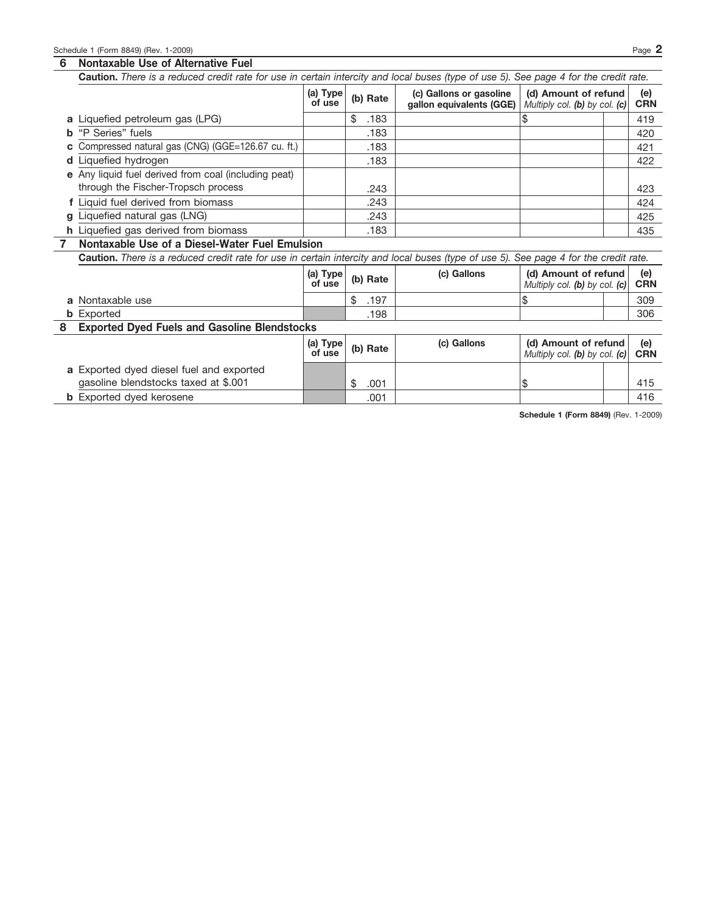## **6 Nontaxable Use of Alternative Fuel**

|              | Caution. There is a reduced credit rate for use in certain intercity and local buses (type of use 5). See page 4 for the credit rate. |                    |            |                                                     |                                                       |  |                   |
|--------------|---------------------------------------------------------------------------------------------------------------------------------------|--------------------|------------|-----------------------------------------------------|-------------------------------------------------------|--|-------------------|
|              |                                                                                                                                       | (a) Type<br>of use | (b) Rate   | (c) Gallons or gasoline<br>gallon equivalents (GGE) | (d) Amount of refund<br>Multiply col. (b) by col. (c) |  | (e)<br><b>CRN</b> |
|              | a Liquefied petroleum gas (LPG)                                                                                                       |                    | \$<br>.183 |                                                     | \$                                                    |  | 419               |
| b            | "P Series" fuels                                                                                                                      |                    | .183       |                                                     |                                                       |  | 420               |
| С            | Compressed natural gas (CNG) (GGE=126.67 cu. ft.)                                                                                     |                    | .183       |                                                     |                                                       |  | 421               |
|              | d Liquefied hydrogen                                                                                                                  |                    | .183       |                                                     |                                                       |  | 422               |
|              | e Any liquid fuel derived from coal (including peat)<br>through the Fischer-Tropsch process                                           |                    | .243       |                                                     |                                                       |  | 423               |
|              | f Liquid fuel derived from biomass                                                                                                    |                    | .243       |                                                     |                                                       |  | 424               |
| a            | Liquefied natural gas (LNG)                                                                                                           |                    | .243       |                                                     |                                                       |  | 425               |
|              | <b>h</b> Liquefied gas derived from biomass                                                                                           |                    | .183       |                                                     |                                                       |  | 435               |
| $\mathbf{7}$ | Nontaxable Use of a Diesel-Water Fuel Emulsion                                                                                        |                    |            |                                                     |                                                       |  |                   |
|              |                                                                                                                                       |                    |            |                                                     |                                                       |  |                   |
|              | Caution. There is a reduced credit rate for use in certain intercity and local buses (type of use 5). See page 4 for the credit rate. |                    |            |                                                     |                                                       |  |                   |
|              |                                                                                                                                       | (a) Type<br>of use | (b) Rate   | (c) Gallons                                         | (d) Amount of refund<br>Multiply col. (b) by col. (c) |  | (e)<br><b>CRN</b> |
|              | a Nontaxable use                                                                                                                      |                    | .197<br>\$ |                                                     | \$                                                    |  | 309               |
|              | <b>b</b> Exported                                                                                                                     |                    | .198       |                                                     |                                                       |  | 306               |
| 8            | <b>Exported Dyed Fuels and Gasoline Blendstocks</b>                                                                                   |                    |            |                                                     |                                                       |  |                   |
|              |                                                                                                                                       | (a) Type<br>of use | (b) Rate   | (c) Gallons                                         | (d) Amount of refund<br>Multiply col. (b) by col. (c) |  | (e)<br><b>CRN</b> |
|              | a Exported dyed diesel fuel and exported<br>gasoline blendstocks taxed at \$.001                                                      |                    | \$<br>.001 |                                                     | 8                                                     |  | 415               |

**Schedule 1 (Form 8849)** (Rev. 1-2009)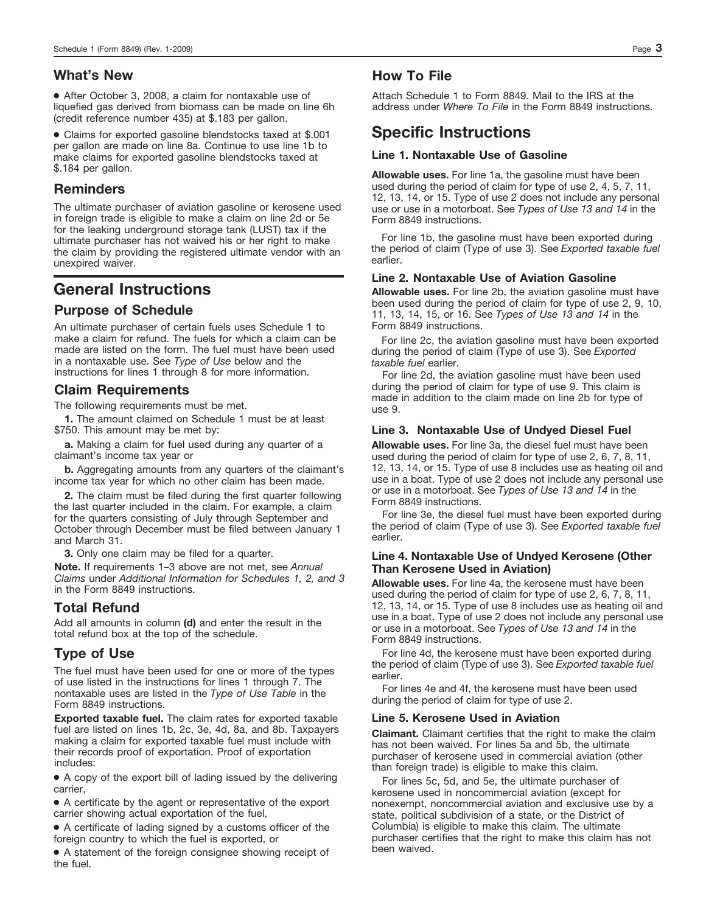## **What's New**

● After October 3, 2008, a claim for nontaxable use of liquefied gas derived from biomass can be made on line 6h (credit reference number 435) at \$.183 per gallon.

● Claims for exported gasoline blendstocks taxed at \$.001 per gallon are made on line 8a. Continue to use line 1b to make claims for exported gasoline blendstocks taxed at \$.184 per gallon.

## **Reminders**

The ultimate purchaser of aviation gasoline or kerosene used in foreign trade is eligible to make a claim on line 2d or 5e for the leaking underground storage tank (LUST) tax if the ultimate purchaser has not waived his or her right to make the claim by providing the registered ultimate vendor with an unexpired waiver.

# **General Instructions**

## **Purpose of Schedule**

An ultimate purchaser of certain fuels uses Schedule 1 to make a claim for refund. The fuels for which a claim can be made are listed on the form. The fuel must have been used in a nontaxable use. See *Type of Use* below and the instructions for lines 1 through 8 for more information.

### **Claim Requirements**

The following requirements must be met.

**1.** The amount claimed on Schedule 1 must be at least \$750. This amount may be met by:

**a.** Making a claim for fuel used during any quarter of a claimant's income tax year or

**b.** Aggregating amounts from any quarters of the claimant's income tax year for which no other claim has been made.

**2.** The claim must be filed during the first quarter following the last quarter included in the claim. For example, a claim for the quarters consisting of July through September and October through December must be filed between January 1 and March 31.

**3.** Only one claim may be filed for a quarter.

**Note.** If requirements 1–3 above are not met, see *Annual Claims* under *Additional Information for Schedules 1, 2, and 3* in the Form 8849 instructions.

## **Total Refund**

Add all amounts in column **(d)** and enter the result in the total refund box at the top of the schedule.

## **Type of Use**

The fuel must have been used for one or more of the types of use listed in the instructions for lines 1 through 7. The nontaxable uses are listed in the *Type of Use Table* in the Form 8849 instructions.

**Exported taxable fuel.** The claim rates for exported taxable fuel are listed on lines 1b, 2c, 3e, 4d, 8a, and 8b. Taxpayers making a claim for exported taxable fuel must include with their records proof of exportation. Proof of exportation includes:

● A copy of the export bill of lading issued by the delivering carrier,

● A certificate by the agent or representative of the export carrier showing actual exportation of the fuel,

● A certificate of lading signed by a customs officer of the foreign country to which the fuel is exported, or

● A statement of the foreign consignee showing receipt of the fuel.

## **How To File**

Attach Schedule 1 to Form 8849. Mail to the IRS at the address under *Where To File* in the Form 8849 instructions.

## **Specific Instructions**

### **Line 1. Nontaxable Use of Gasoline**

**Allowable uses.** For line 1a, the gasoline must have been used during the period of claim for type of use 2, 4, 5, 7, 11, 12, 13, 14, or 15. Type of use 2 does not include any personal use or use in a motorboat. See *Types of Use 13 and 14* in the Form 8849 instructions.

For line 1b, the gasoline must have been exported during the period of claim (Type of use 3). See *Exported taxable fuel* earlier.

### **Line 2. Nontaxable Use of Aviation Gasoline**

**Allowable uses.** For line 2b, the aviation gasoline must have been used during the period of claim for type of use 2, 9, 10, 11, 13, 14, 15, or 16. See *Types of Use 13 and 14* in the Form 8849 instructions.

For line 2c, the aviation gasoline must have been exported during the period of claim (Type of use 3). See *Exported taxable fuel* earlier.

For line 2d, the aviation gasoline must have been used during the period of claim for type of use 9. This claim is made in addition to the claim made on line 2b for type of use 9.

### **Line 3. Nontaxable Use of Undyed Diesel Fuel**

**Allowable uses.** For line 3a, the diesel fuel must have been used during the period of claim for type of use 2, 6, 7, 8, 11, 12, 13, 14, or 15. Type of use 8 includes use as heating oil and use in a boat. Type of use 2 does not include any personal use or use in a motorboat. See *Types of Use 13 and 14* in the Form 8849 instructions.

For line 3e, the diesel fuel must have been exported during the period of claim (Type of use 3). See *Exported taxable fuel* earlier.

### **Line 4. Nontaxable Use of Undyed Kerosene (Other Than Kerosene Used in Aviation)**

**Allowable uses.** For line 4a, the kerosene must have been used during the period of claim for type of use 2, 6, 7, 8, 11, 12, 13, 14, or 15. Type of use 8 includes use as heating oil and use in a boat. Type of use 2 does not include any personal use or use in a motorboat. See *Types of Use 13 and 14* in the Form 8849 instructions.

For line 4d, the kerosene must have been exported during the period of claim (Type of use 3). See *Exported taxable fuel* earlier.

For lines 4e and 4f, the kerosene must have been used during the period of claim for type of use 2.

#### **Line 5. Kerosene Used in Aviation**

**Claimant.** Claimant certifies that the right to make the claim has not been waived. For lines 5a and 5b, the ultimate purchaser of kerosene used in commercial aviation (other than foreign trade) is eligible to make this claim.

For lines 5c, 5d, and 5e, the ultimate purchaser of kerosene used in noncommercial aviation (except for nonexempt, noncommercial aviation and exclusive use by a state, political subdivision of a state, or the District of Columbia) is eligible to make this claim. The ultimate purchaser certifies that the right to make this claim has not been waived.